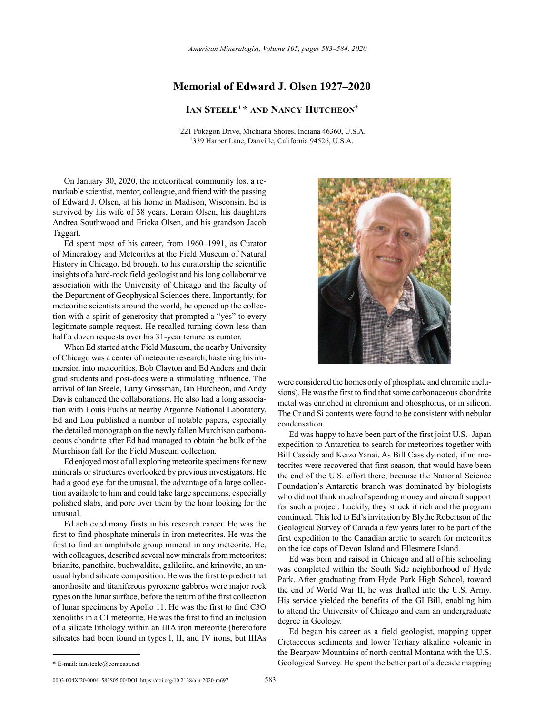## **Memorial of Edward J. Olsen 1927–2020**

**Ian Steele1,\* and Nancy Hutcheon2**

<sup>1</sup>221 Pokagon Drive, Michiana Shores, Indiana 46360, U.S.A.<br><sup>2330</sup> Harper Lane, Danville, California 94526, U.S.A. 339 Harper Lane, Danville, California 94526, U.S.A.

On January 30, 2020, the meteoritical community lost a remarkable scientist, mentor, colleague, and friend with the passing of Edward J. Olsen, at his home in Madison, Wisconsin. Ed is survived by his wife of 38 years, Lorain Olsen, his daughters Andrea Southwood and Ericka Olsen, and his grandson Jacob Taggart.

Ed spent most of his career, from 1960–1991, as Curator of Mineralogy and Meteorites at the Field Museum of Natural History in Chicago. Ed brought to his curatorship the scientific insights of a hard-rock field geologist and his long collaborative association with the University of Chicago and the faculty of the Department of Geophysical Sciences there. Importantly, for meteoritic scientists around the world, he opened up the collection with a spirit of generosity that prompted a "yes" to every legitimate sample request. He recalled turning down less than half a dozen requests over his 31-year tenure as curator.

When Ed started at the Field Museum, the nearby University of Chicago was a center of meteorite research, hastening his immersion into meteoritics. Bob Clayton and Ed Anders and their grad students and post-docs were a stimulating influence. The arrival of Ian Steele, Larry Grossman, Ian Hutcheon, and Andy Davis enhanced the collaborations. He also had a long association with Louis Fuchs at nearby Argonne National Laboratory. Ed and Lou published a number of notable papers, especially the detailed monograph on the newly fallen Murchison carbonaceous chondrite after Ed had managed to obtain the bulk of the Murchison fall for the Field Museum collection.

Ed enjoyed most of all exploring meteorite specimens for new minerals or structures overlooked by previous investigators. He had a good eye for the unusual, the advantage of a large collection available to him and could take large specimens, especially polished slabs, and pore over them by the hour looking for the unusual.

Ed achieved many firsts in his research career. He was the first to find phosphate minerals in iron meteorites. He was the first to find an amphibole group mineral in any meteorite. He, with colleagues, described several new minerals from meteorites: brianite, panethite, buchwaldite, galileiite, and krinovite, an unusual hybrid silicate composition. He was the first to predict that anorthosite and titaniferous pyroxene gabbros were major rock types on the lunar surface, before the return of the first collection of lunar specimens by Apollo 11. He was the first to find C3O xenoliths in a C1 meteorite. He was the first to find an inclusion of a silicate lithology within an IIIA iron meteorite (heretofore silicates had been found in types I, II, and IV irons, but IIIAs



were considered the homes only of phosphate and chromite inclusions). He was the first to find that some carbonaceous chondrite metal was enriched in chromium and phosphorus, or in silicon. The Cr and Si contents were found to be consistent with nebular condensation.

Ed was happy to have been part of the first joint U.S.–Japan expedition to Antarctica to search for meteorites together with Bill Cassidy and Keizo Yanai. As Bill Cassidy noted, if no meteorites were recovered that first season, that would have been the end of the U.S. effort there, because the National Science Foundation's Antarctic branch was dominated by biologists who did not think much of spending money and aircraft support for such a project. Luckily, they struck it rich and the program continued. This led to Ed's invitation by Blythe Robertson of the Geological Survey of Canada a few years later to be part of the first expedition to the Canadian arctic to search for meteorites on the ice caps of Devon Island and Ellesmere Island.

Ed was born and raised in Chicago and all of his schooling was completed within the South Side neighborhood of Hyde Park. After graduating from Hyde Park High School, toward the end of World War II, he was drafted into the U.S. Army. His service yielded the benefits of the GI Bill, enabling him to attend the University of Chicago and earn an undergraduate degree in Geology.

Ed began his career as a field geologist, mapping upper Cretaceous sediments and lower Tertiary alkaline volcanic in the Bearpaw Mountains of north central Montana with the U.S. Geological Survey. He spent the better part of a decade mapping

<sup>\*</sup> E-mail: [iansteele@comcast.net](mailto:iansteele@comcast.net)

<sup>0003-004</sup>X/20/0004–583\$05.00/DOI: https://doi.org/10.2138/am-2020-m697 583